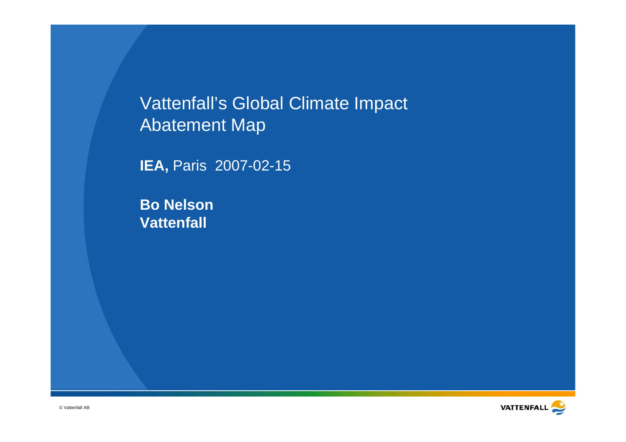Vattenfall's Global Climate Impact Abatement Map

**IEA, Paris 2007-02-15** 

**Bo Nelson Vattenfall**

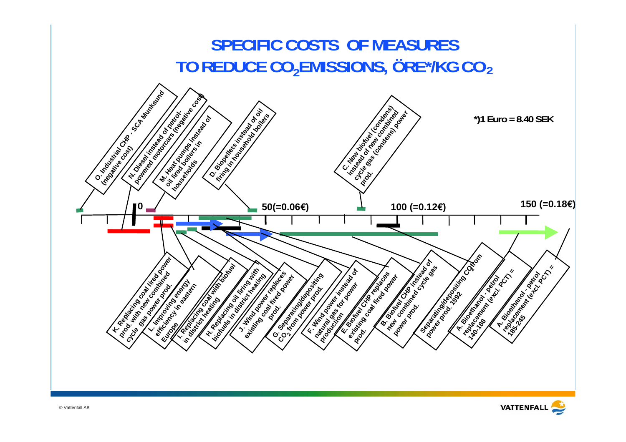

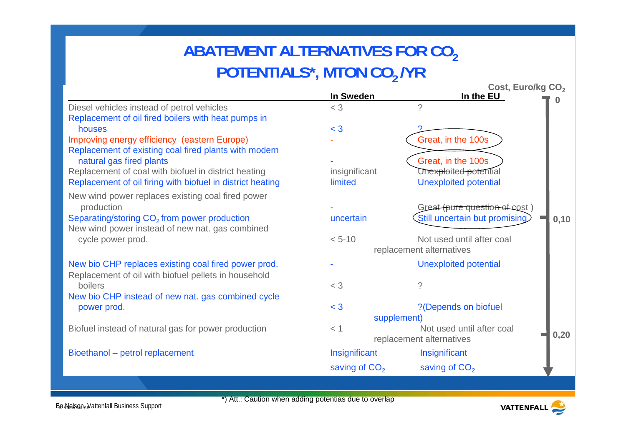# **ABATEMENT ALTERNATIVES FOR CO2 POTENTIALS\*, MTON CO<sub>2</sub> /YR**

|                                                                                                                    |                                                       | Cost, Euro/kg CO <sub>2</sub> |      |
|--------------------------------------------------------------------------------------------------------------------|-------------------------------------------------------|-------------------------------|------|
|                                                                                                                    | In Sweden                                             | In the EU                     |      |
| Diesel vehicles instead of petrol vehicles                                                                         | $<$ 3                                                 | $\gamma$                      |      |
| Replacement of oil fired boilers with heat pumps in                                                                |                                                       |                               |      |
| houses                                                                                                             | $<$ 3                                                 |                               |      |
| Improving energy efficiency (eastern Europe)                                                                       |                                                       | Great, in the 100s            |      |
| Replacement of existing coal fired plants with modern                                                              |                                                       |                               |      |
| natural gas fired plants                                                                                           |                                                       | Great, in the 100s            |      |
| Replacement of coal with biofuel in district heating<br>Replacement of oil firing with biofuel in district heating | insignificant<br>limited                              | Unexploited potential         |      |
|                                                                                                                    |                                                       | <b>Unexploited potential</b>  |      |
| New wind power replaces existing coal fired power                                                                  |                                                       |                               |      |
| production                                                                                                         |                                                       | Great (pure question of cost) |      |
| Separating/storing CO <sub>2</sub> from power production                                                           | uncertain                                             | Still uncertain but promising | 0,10 |
| New wind power instead of new nat. gas combined                                                                    |                                                       |                               |      |
| cycle power prod.                                                                                                  | $< 5 - 10$                                            | Not used until after coal     |      |
|                                                                                                                    |                                                       | replacement alternatives      |      |
| New bio CHP replaces existing coal fired power prod.                                                               |                                                       | <b>Unexploited potential</b>  |      |
| Replacement of oil with biofuel pellets in household                                                               |                                                       |                               |      |
| boilers                                                                                                            | $<$ 3                                                 | ?                             |      |
| New bio CHP instead of new nat. gas combined cycle                                                                 |                                                       |                               |      |
| power prod.                                                                                                        | $<$ 3                                                 | ?(Depends on biofuel          |      |
|                                                                                                                    | supplement)                                           |                               |      |
| Biofuel instead of natural gas for power production                                                                | $<$ 1                                                 | Not used until after coal     | 0,20 |
|                                                                                                                    |                                                       | replacement alternatives      |      |
| Bioethanol - petrol replacement                                                                                    | Insignificant                                         | Insignificant                 |      |
|                                                                                                                    | saving of CO <sub>2</sub>                             | saving of CO <sub>2</sub>     |      |
|                                                                                                                    |                                                       |                               |      |
|                                                                                                                    | *) Att.: Caution when adding potentias due to overlap |                               |      |
| <b>Be Nelsen Nattenfall Business Support</b>                                                                       |                                                       | <b>VATTENFALL</b>             |      |

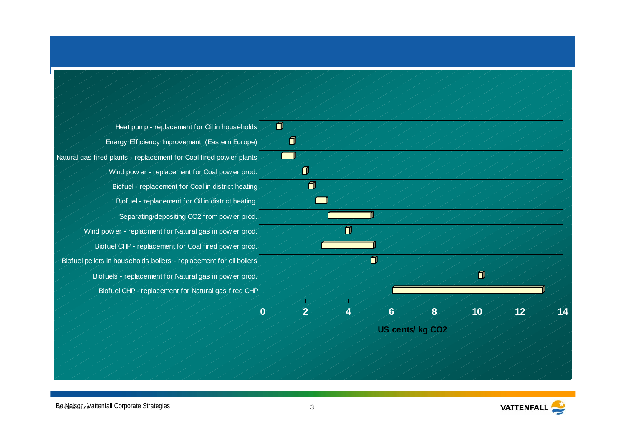Biofuel CHP - replacement for Natural gas fired CHP Biofuels - replacement for Natural gas in pow er prod. Biofuel pellets in households boilers - replacement for oil boilers Biofuel CHP - replacement for Coal fired pow er prod. Wind pow er - replacment for Natural gas in pow er prod. Separating/depositing CO2 from pow er prod. Biofuel - replacement for Oil in district heating Biofuel - replacement for Coal in district heating Wind pow er - replacement for Coal pow er prod. Natural gas fired plants - replacement for Coal fired pow er plants Energy Efficiency Improvement (Eastern Europe) Heat pump - replacement for Oil in households



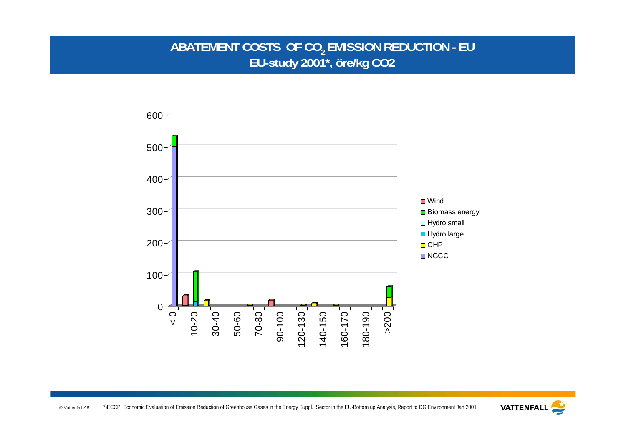### ABATEMENT COSTS OF CO<sub>2</sub> EMISSION REDUCTION - EU **EU-study 2001\*, öre/kg CO2**



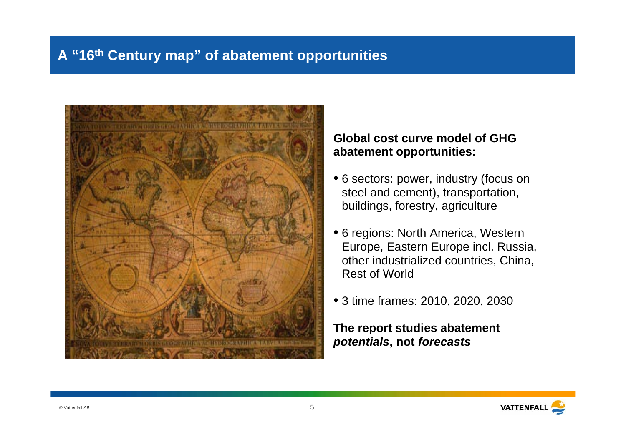### **A "16th Century map" of abatement opportunities**



#### **Global cost curve model of GHGabatement opportunities:**

- 6 sectors: power, industry (focus on steel and cement), transportation, buildings, forestry, agriculture
- 6 regions: North America, Western Europe, Eastern Europe incl. Russia, other industrialized countries, China, Rest of World
- 3 time frames: 2010, 2020, 2030

**The report studies abatement potentials, not forecasts**

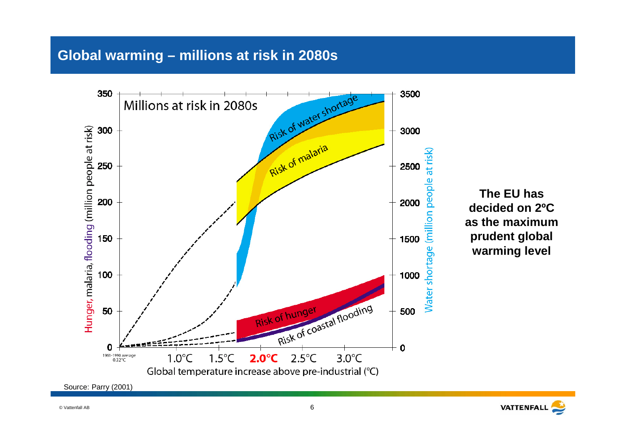#### **Global warming – millions at risk in 2080s**



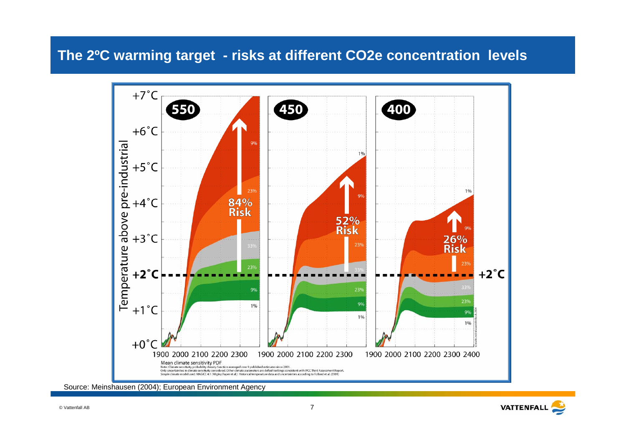#### **The 2ºC warming target - risks at different CO2e concentration levels**



Source: Meinshausen (2004); European Environment Agency

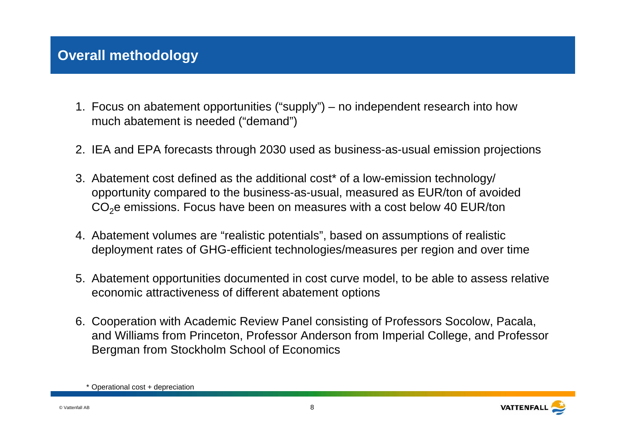### **Overall methodology**

- Focus on abatement opportunities ("supply") no independent research into how 1. much abatement is needed ("demand")
- 2. IEA and EPA forecasts through 2030 used as business-as-usual emission projections
- Abatement cost defined as the additional cost\* of a low-emission technology/ 3. opportunity compared to the business-as-usual, measured as EUR/ton of avoided CO<sub>2</sub>e emissions. Focus have been on measures with a cost below 40 EUR/ton
- 4. Abatement volumes are "realistic potentials", based on assumptions of realistic deployment rates of GHG-efficient technologies/measures per region and over time
- Abatement opportunities documented in cost curve model, to be able to assess relative 5. economic attractiveness of different abatement options
- 6. Cooperation with Academic Review Panel consisting of Professors Socolow, Pacala, and Williams from Princeton, Professor Anderson from Imperial College, and Professor Bergman from Stockholm School of Economics

<sup>\*</sup> Operational cost + depreciation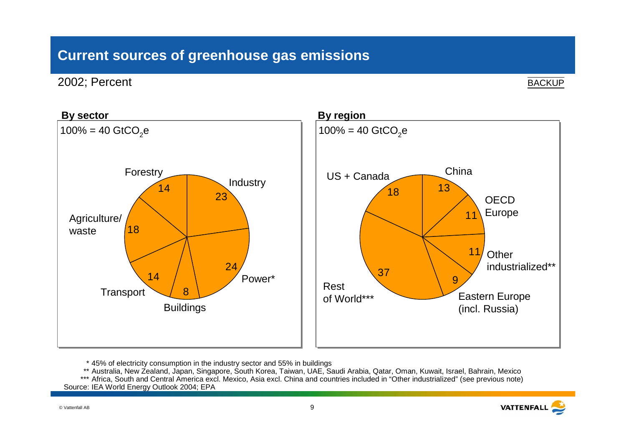### **Current sources of greenhouse gas emissions**

2002; Percent

**BACKUP** 



\* 45% of electricity consumption in the industry sector and 55% in buildings

\*\* Australia, New Zealand, Japan, Singapore, South Korea, Taiwan, UAE, Saudi Arabia, Qatar, Oman, Kuwait, Israel, Bahrain, Mexico

\*\*\* Africa, South and Central America excl. Mexico, Asia excl. China and countries included in "Other industrialized" (see previous note) Source: IEA World Energy Outlook 2004; EPA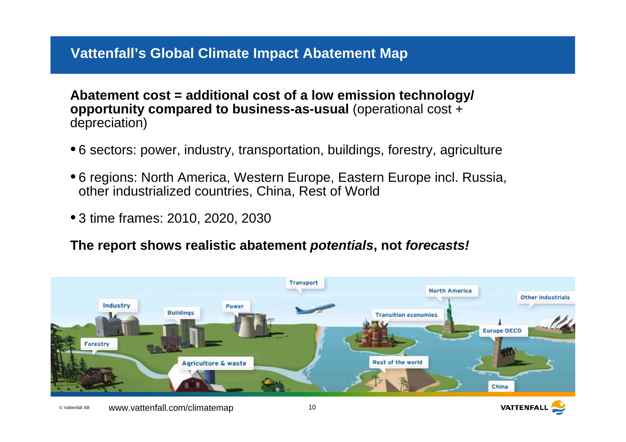### **Vattenfall's Global Climate Impact Abatement Map**

**Abatement cost = additional cost of a low emission technology/ opportunity compared to business-as-usual** (operational cost + depreciation)

- 6 sectors: power, industry, transportation, buildings, forestry, agriculture
- 6 regions: North America, Western Europe, Eastern Europe incl. Russia, other industrialized countries, China, Rest of World
- 3 time frames: 2010, 2020, 2030

**The report shows realistic abatement potentials, not forecasts!**



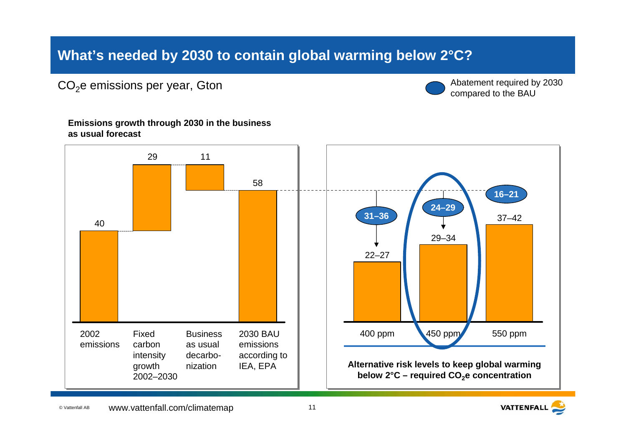### **What's needed by 2030 to contain global warming below 2°C?**

 $CO<sub>2</sub>e$  emissions per year, Gton



Abatement required by 2030 compared to the BAU

**Emissions growth through 2030 in the business as usual forecast**



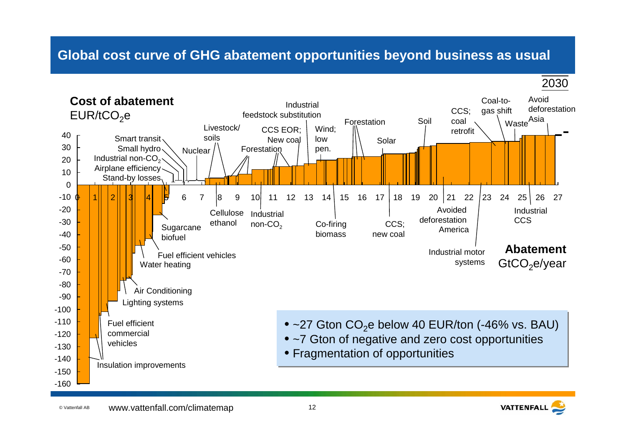#### **Global cost curve of GHG abatement opportunities beyond business as usual**



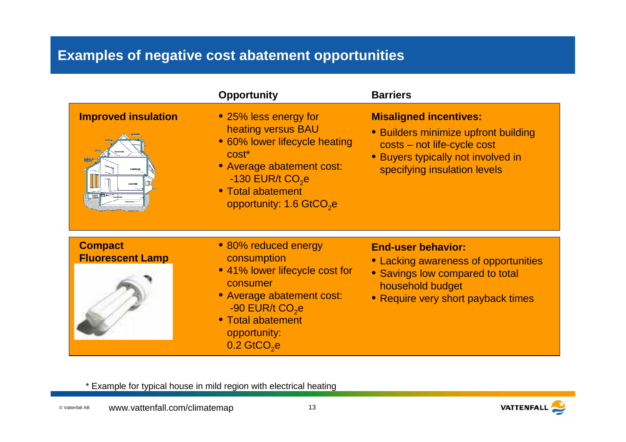## **Examples of negative cost abatement opportunities**

|                                           | <b>Opportunity</b>                                                                                                                                                                                                            | <b>Barriers</b>                                                                                                                                                            |
|-------------------------------------------|-------------------------------------------------------------------------------------------------------------------------------------------------------------------------------------------------------------------------------|----------------------------------------------------------------------------------------------------------------------------------------------------------------------------|
| <b>Improved insulation</b>                | • 25% less energy for<br>heating versus BAU<br>• 60% lower lifecycle heating<br>cost <sup>*</sup><br>• Average abatement cost:<br>$-130$ EUR/t CO <sub>2</sub> e<br>• Total abatement<br>opportunity: 1.6 GtCO <sub>2</sub> e | <b>Misaligned incentives:</b><br>• Builders minimize upfront building<br>costs - not life-cycle cost<br>• Buyers typically not involved in<br>specifying insulation levels |
| <b>Compact</b><br><b>Fluorescent Lamp</b> | • 80% reduced energy<br>consumption<br>• 41% lower lifecycle cost for<br>consumer<br>• Average abatement cost:<br>$-90$ EUR/t $CO2$ e<br>• Total abatement<br>opportunity:<br>$0.2$ GtCO <sub>2</sub> e                       | <b>End-user behavior:</b><br>• Lacking awareness of opportunities<br>• Savings low compared to total<br>household budget<br>• Require very short payback times             |

\* Example for typical house in mild region with electrical heating

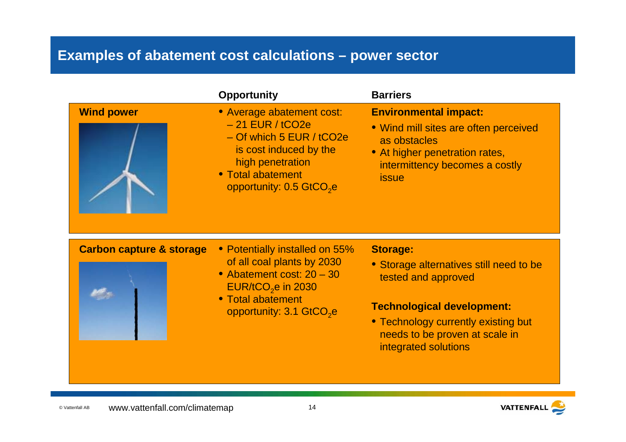### **Examples of abatement cost calculations – power sector**

|                                     | <b>Opportunity</b>                                                                                                                                                                          | <b>Barriers</b>                                                                                                                                                                                                         |
|-------------------------------------|---------------------------------------------------------------------------------------------------------------------------------------------------------------------------------------------|-------------------------------------------------------------------------------------------------------------------------------------------------------------------------------------------------------------------------|
| <b>Wind power</b>                   | • Average abatement cost:<br>$-21$ EUR / tCO2e<br>- Of which 5 EUR / tCO2e<br>is cost induced by the<br>high penetration<br>• Total abatement<br>opportunity: 0.5 GtCO <sub>2</sub> e       | <b>Environmental impact:</b><br>. Wind mill sites are often perceived<br>as obstacles<br>• At higher penetration rates,<br>intermittency becomes a costly<br><b>issue</b>                                               |
| <b>Carbon capture &amp; storage</b> | • Potentially installed on 55%<br>of all coal plants by 2030<br>• Abatement cost: 20 - 30<br>$EUR/$ tCO <sub>2</sub> e in 2030<br>• Total abatement<br>opportunity: 3.1 GtCO <sub>2</sub> e | <b>Storage:</b><br>• Storage alternatives still need to be<br>tested and approved<br><b>Technological development:</b><br>• Technology currently existing but<br>needs to be proven at scale in<br>integrated solutions |

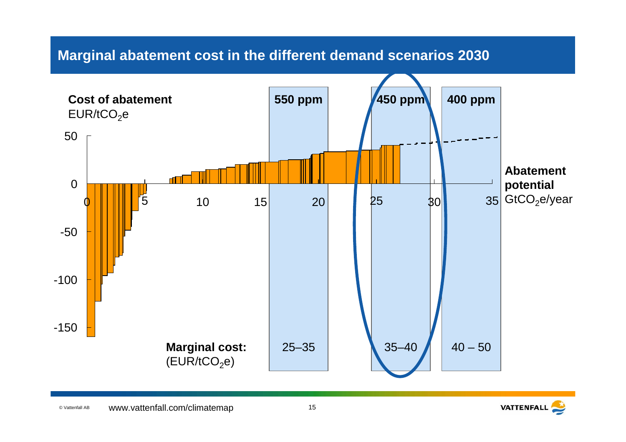

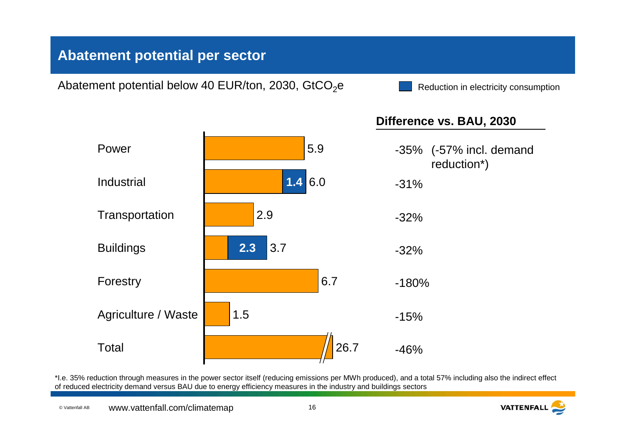### **Abatement potential per sector**

Abatement potential below 40 EUR/ton, 2030, GtCO<sub>2</sub>e

Reduction in electricity consumption



\*I.e. 35% reduction through measures in the power sector itself (reducing emissions per MWh produced), and a total 57% including also the indirect effect of reduced electricity demand versus BAU due to energy efficiency measures in the industry and buildings sectors

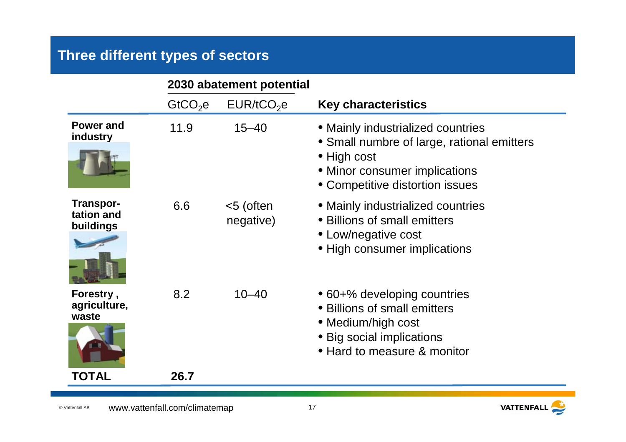## **Three different types of sectors**

|                                      | 2030 abatement potential |                         |                                                                                                                                               |
|--------------------------------------|--------------------------|-------------------------|-----------------------------------------------------------------------------------------------------------------------------------------------|
|                                      | GtCO <sub>2</sub> e      | EUR/ tCO <sub>2</sub> e | <b>Key characteristics</b>                                                                                                                    |
| <b>Power and</b><br>industry         | 11.9                     | $15 - 40$               | • Mainly industrialized countries<br>• Small numbre of large, rational emitters                                                               |
|                                      |                          |                         | • High cost<br>• Minor consumer implications<br>• Competitive distortion issues                                                               |
| Transpor-<br>tation and<br>buildings | 6.6                      | <5 (often<br>negative)  | • Mainly industrialized countries<br>• Billions of small emitters<br>• Low/negative cost<br>• High consumer implications                      |
| Forestry,<br>agriculture,<br>waste   | 8.2                      | $10 - 40$               | • 60+% developing countries<br>• Billions of small emitters<br>• Medium/high cost<br>• Big social implications<br>• Hard to measure & monitor |
| TOTAL                                | 26.7                     |                         |                                                                                                                                               |

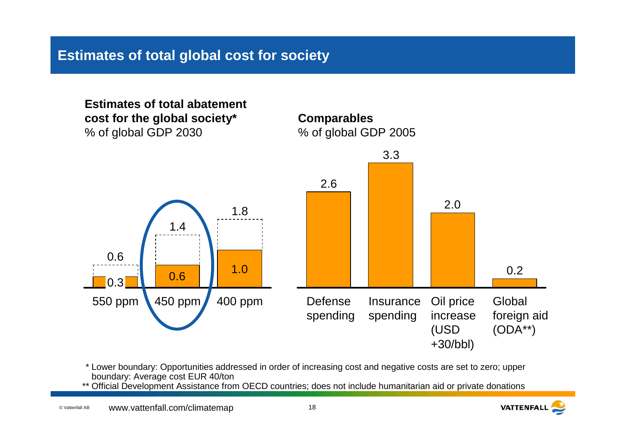### **Estimates of total global cost for society**



- \* Lower boundary: Opportunities addressed in order of increasing cost and negative costs are set to zero; upper boundary: Average cost EUR 40/ton
- \*\* Official Development Assistance from OECD countries; does not include humanitarian aid or private donations

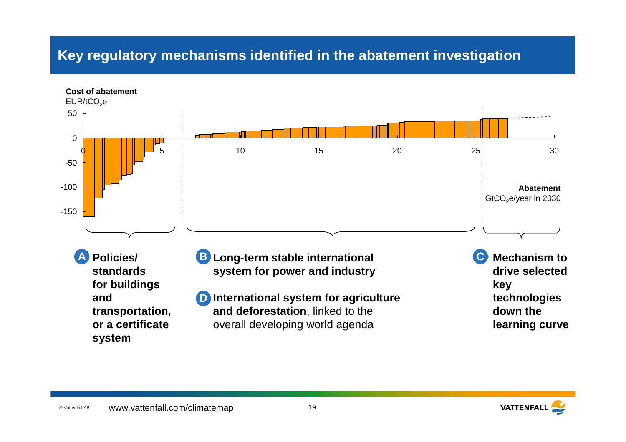### **Key regulatory mechanisms identified in the abatement investigation**



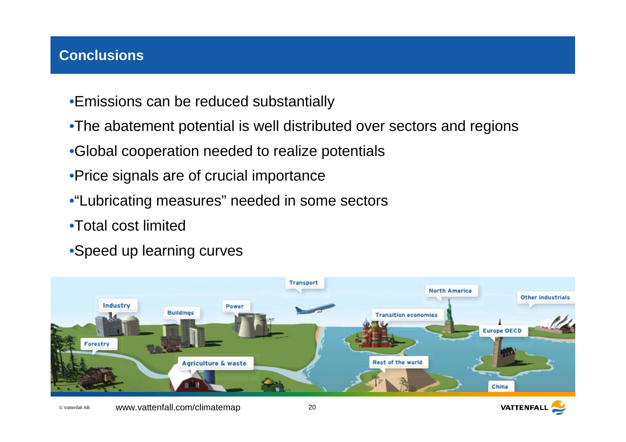### **Conclusions**

- •Emissions can be reduced substantially
- •The abatement potential is well distributed over sectors and regions
- •Global cooperation needed to realize potentials
- •Price signals are of crucial importance
- •"Lubricating measures" needed in some sectors
- •Total cost limited
- •Speed up learning curves



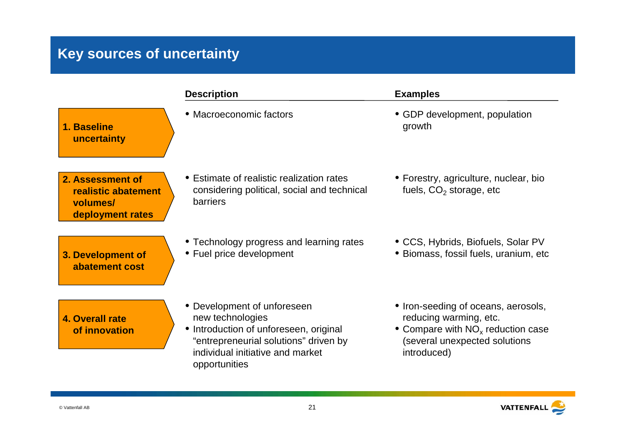## **Key sources of uncertainty**

|                                                                         | <b>Description</b>                                                                                                                                                                      | <b>Examples</b>                                                                                                                                      |
|-------------------------------------------------------------------------|-----------------------------------------------------------------------------------------------------------------------------------------------------------------------------------------|------------------------------------------------------------------------------------------------------------------------------------------------------|
| 1. Baseline<br>uncertainty                                              | • Macroeconomic factors                                                                                                                                                                 | • GDP development, population<br>growth                                                                                                              |
| 2. Assessment of<br>realistic abatement<br>volumes/<br>deployment rates | • Estimate of realistic realization rates<br>considering political, social and technical<br><b>barriers</b>                                                                             | • Forestry, agriculture, nuclear, bio<br>fuels, CO <sub>2</sub> storage, etc                                                                         |
| 3. Development of<br>abatement cost                                     | • Technology progress and learning rates<br>• Fuel price development                                                                                                                    | • CCS, Hybrids, Biofuels, Solar PV<br>• Biomass, fossil fuels, uranium, etc                                                                          |
| <b>4. Overall rate</b><br>of innovation                                 | • Development of unforeseen<br>new technologies<br>• Introduction of unforeseen, original<br>"entrepreneurial solutions" driven by<br>individual initiative and market<br>opportunities | • Iron-seeding of oceans, aerosols,<br>reducing warming, etc.<br>• Compare with $NOx$ reduction case<br>(several unexpected solutions<br>introduced) |

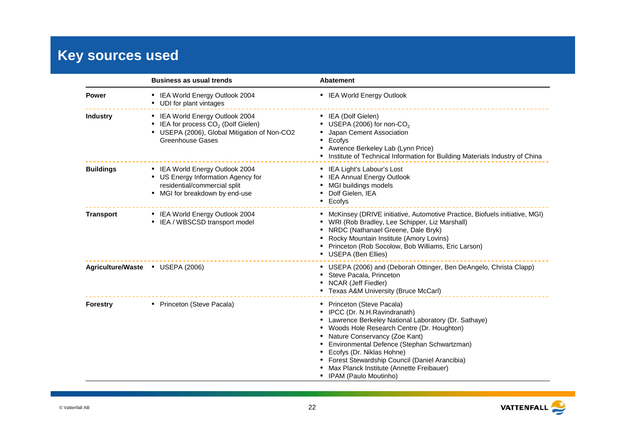## **Key sources used**

|                                  | <b>Business as usual trends</b>                                                                                                                     | <b>Abatement</b>                                                                                                                                                                                                                                                                                                                                                                                            |  |  |
|----------------------------------|-----------------------------------------------------------------------------------------------------------------------------------------------------|-------------------------------------------------------------------------------------------------------------------------------------------------------------------------------------------------------------------------------------------------------------------------------------------------------------------------------------------------------------------------------------------------------------|--|--|
| <b>Power</b>                     | • IEA World Energy Outlook 2004<br>• UDI for plant vintages                                                                                         | • IEA World Energy Outlook                                                                                                                                                                                                                                                                                                                                                                                  |  |  |
| <b>Industry</b>                  | • IEA World Energy Outlook 2004<br>• IEA for process $CO2$ (Dolf Gielen)<br>• USEPA (2006), Global Mitigation of Non-CO2<br><b>Greenhouse Gases</b> | • IEA (Dolf Gielen)<br>USEPA (2006) for non-CO <sub>2</sub><br>Japan Cement Association<br>Ecofys<br>$\bullet$<br>Awrence Berkeley Lab (Lynn Price)<br>$\bullet$<br>Institute of Technical Information for Building Materials Industry of China<br>٠                                                                                                                                                        |  |  |
| <b>Buildings</b>                 | • IEA World Energy Outlook 2004<br>• US Energy Information Agency for<br>residential/commercial split<br>• MGI for breakdown by end-use             | • IEA Light's Labour's Lost<br><b>IEA Annual Energy Outlook</b><br>MGI buildings models<br>Dolf Gielen, IEA<br>Ecofys<br>$\bullet$                                                                                                                                                                                                                                                                          |  |  |
| <b>Transport</b>                 | • IEA World Energy Outlook 2004<br>• IEA / WBSCSD transport model                                                                                   | • McKinsey (DRIVE initiative, Automotive Practice, Biofuels initiative, MGI)<br>WRI (Rob Bradley, Lee Schipper, Liz Marshall)<br>NRDC (Nathanael Greene, Dale Bryk)<br>Rocky Mountain Institute (Amory Lovins)<br>Princeton (Rob Socolow, Bob Williams, Eric Larson)<br>USEPA (Ben Ellies)<br>$\bullet$                                                                                                     |  |  |
| Agriculture/Waste • USEPA (2006) |                                                                                                                                                     | • USEPA (2006) and (Deborah Ottinger, Ben DeAngelo, Christa Clapp)<br>Steve Pacala, Princeton<br><b>NCAR (Jeff Fiedler)</b><br>• Texas A&M University (Bruce McCarl)                                                                                                                                                                                                                                        |  |  |
| <b>Forestry</b>                  | • Princeton (Steve Pacala)                                                                                                                          | Princeton (Steve Pacala)<br>$\bullet$<br>IPCC (Dr. N.H.Ravindranath)<br>Lawrence Berkeley National Laboratory (Dr. Sathaye)<br>Woods Hole Research Centre (Dr. Houghton)<br>Nature Conservancy (Zoe Kant)<br>Environmental Defence (Stephan Schwartzman)<br>Ecofys (Dr. Niklas Hohne)<br>Forest Stewardship Council (Daniel Arancibia)<br>Max Planck Institute (Annette Freibauer)<br>IPAM (Paulo Moutinho) |  |  |

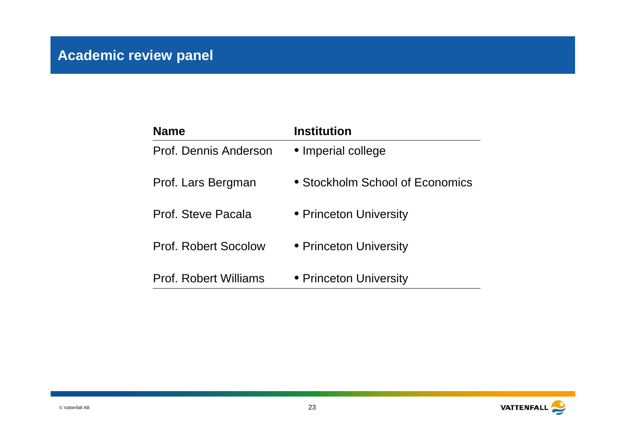| <b>Name</b>                  | Institution                     |
|------------------------------|---------------------------------|
| Prof. Dennis Anderson        | • Imperial college              |
| Prof. Lars Bergman           | • Stockholm School of Economics |
| Prof. Steve Pacala           | • Princeton University          |
| Prof. Robert Socolow         | • Princeton University          |
| <b>Prof. Robert Williams</b> | • Princeton University          |

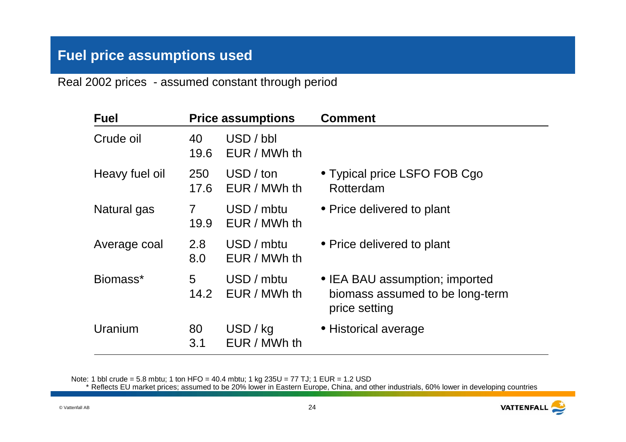### **Fuel price assumptions used**

Real 2002 prices - assumed constant through period

| <b>Fuel</b>    |                        | <b>Price assumptions</b>   | <b>Comment</b>                                                                     |
|----------------|------------------------|----------------------------|------------------------------------------------------------------------------------|
| Crude oil      | 40<br>19.6             | USD / bbl<br>EUR / MWh th  |                                                                                    |
| Heavy fuel oil | 250<br>17.6            | USD / ton<br>EUR / MWh th  | • Typical price LSFO FOB Cgo<br>Rotterdam                                          |
| Natural gas    | $\overline{7}$<br>19.9 | USD / mbtu<br>EUR / MWh th | • Price delivered to plant                                                         |
| Average coal   | 2.8<br>8.0             | USD / mbtu<br>EUR / MWh th | • Price delivered to plant                                                         |
| Biomass*       | 5<br>14.2              | USD / mbtu<br>EUR / MWh th | • IEA BAU assumption; imported<br>biomass assumed to be long-term<br>price setting |
| Uranium        | 80<br>3.1              | USD / kg<br>EUR / MWh th   | • Historical average                                                               |

Note: 1 bbl crude = 5.8 mbtu; 1 ton HFO = 40.4 mbtu; 1 kg 235U = 77 TJ; 1 EUR = 1.2 USD \* Reflects EU market prices; assumed to be 20% lower in Eastern Europe, China, and other industrials, 60% lower in developing countries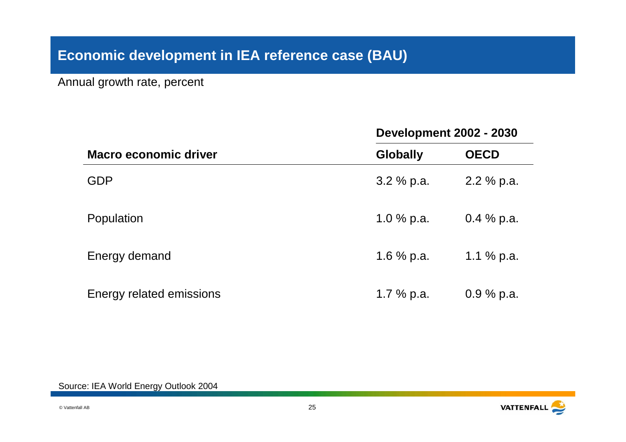### **Economic development in IEA reference case (BAU)**

Annual growth rate, percent

|                              | <b>Development 2002 - 2030</b> |               |  |
|------------------------------|--------------------------------|---------------|--|
| <b>Macro economic driver</b> | <b>Globally</b>                | <b>OECD</b>   |  |
| <b>GDP</b>                   | $3.2 \%$ p.a.                  | $2.2 \%$ p.a. |  |
| Population                   | 1.0 $%$ p.a.                   | $0.4\%$ p.a.  |  |
| Energy demand                | 1.6 $%$ p.a.                   | 1.1 $%$ p.a.  |  |
| Energy related emissions     | 1.7 $%$ p.a.                   | $0.9\%$ p.a.  |  |

Source: IEA World Energy Outlook 2004